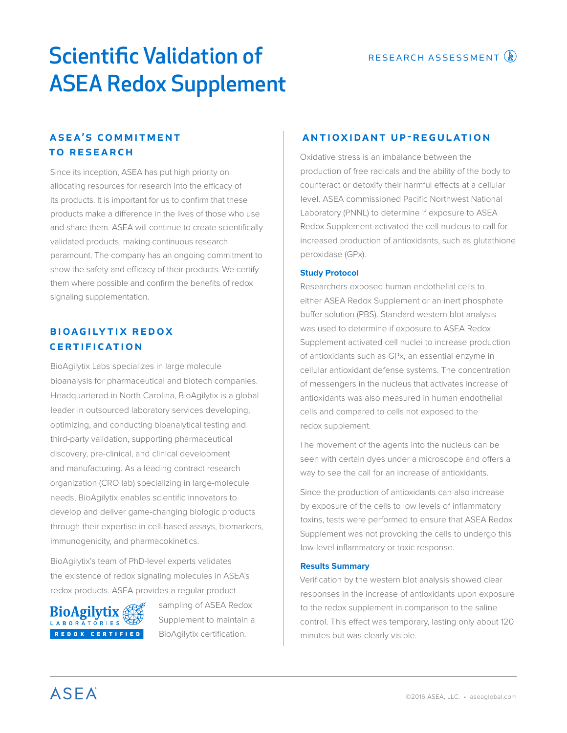# Scientific Validation of **RESEARCH ASSESSMENT** ASEA Redox Supplement

# **ASEA'S COMMITMENT** to research

Since its inception, ASEA has put high priority on allocating resources for research into the efficacy of its products. It is important for us to confirm that these products make a difference in the lives of those who use and share them. ASEA will continue to create scientifically validated products, making continuous research paramount. The company has an ongoing commitment to show the safety and efficacy of their products. We certify them where possible and confirm the benefits of redox signaling supplementation.

# **BIOAGILYTIX REDOX CERTIFICATION**

BioAgilytix Labs specializes in large molecule bioanalysis for pharmaceutical and biotech companies. Headquartered in North Carolina, BioAgilytix is a global leader in outsourced laboratory services developing, optimizing, and conducting bioanalytical testing and third-party validation, supporting pharmaceutical discovery, pre-clinical, and clinical development and manufacturing. As a leading contract research organization (CRO lab) specializing in large-molecule needs, BioAgilytix enables scientific innovators to develop and deliver game-changing biologic products through their expertise in cell-based assays, biomarkers, immunogenicity, and pharmacokinetics.

BioAgilytix's team of PhD-level experts validates the existence of redox signaling molecules in ASEA's redox products. ASEA provides a regular product



sampling of ASEA Redox Supplement to maintain a BioAgilytix certification.

## antioxidant up-regulation

Oxidative stress is an imbalance between the production of free radicals and the ability of the body to counteract or detoxify their harmful effects at a cellular level. ASEA commissioned Pacific Northwest National Laboratory (PNNL) to determine if exposure to ASEA Redox Supplement activated the cell nucleus to call for increased production of antioxidants, such as glutathione peroxidase (GPx).

## **Study Protocol**

Researchers exposed human endothelial cells to either ASEA Redox Supplement or an inert phosphate buffer solution (PBS). Standard western blot analysis was used to determine if exposure to ASEA Redox Supplement activated cell nuclei to increase production of antioxidants such as GPx, an essential enzyme in cellular antioxidant defense systems. The concentration of messengers in the nucleus that activates increase of antioxidants was also measured in human endothelial cells and compared to cells not exposed to the redox supplement.

The movement of the agents into the nucleus can be seen with certain dyes under a microscope and offers a way to see the call for an increase of antioxidants.

Since the production of antioxidants can also increase by exposure of the cells to low levels of inflammatory toxins, tests were performed to ensure that ASEA Redox Supplement was not provoking the cells to undergo this low-level inflammatory or toxic response.

#### **Results Summary**

Verification by the western blot analysis showed clear responses in the increase of antioxidants upon exposure to the redox supplement in comparison to the saline control. This effect was temporary, lasting only about 120 minutes but was clearly visible.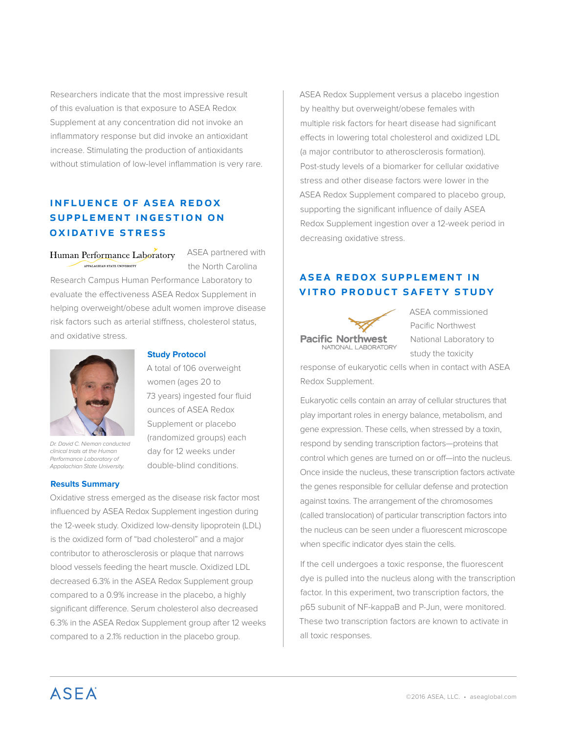Researchers indicate that the most impressive result of this evaluation is that exposure to ASEA Redox Supplement at any concentration did not invoke an inflammatory response but did invoke an antioxidant increase. Stimulating the production of antioxidants without stimulation of low-level inflammation is very rare.

# **INFLUENCE OF ASEA REDOX** SUPPLEMENT INGESTION ON oxidative stress

Human Performance Laboratory APPALACHIAN STATE INIVERSITY

ASEA partnered with the North Carolina

Research Campus Human Performance Laboratory to evaluate the effectiveness ASEA Redox Supplement in helping overweight/obese adult women improve disease risk factors such as arterial stiffness, cholesterol status, and oxidative stress.



*Dr. David C. Nieman conducted clinical trials at the Human Performance Laboratory of Appalachian State University.*

#### **Results Summary**

#### **Study Protocol**

A total of 106 overweight women (ages 20 to 73 years) ingested four fluid ounces of ASEA Redox Supplement or placebo (randomized groups) each day for 12 weeks under double-blind conditions.

Oxidative stress emerged as the disease risk factor most influenced by ASEA Redox Supplement ingestion during the 12-week study. Oxidized low-density lipoprotein (LDL) is the oxidized form of "bad cholesterol" and a major contributor to atherosclerosis or plaque that narrows blood vessels feeding the heart muscle. Oxidized LDL decreased 6.3% in the ASEA Redox Supplement group compared to a 0.9% increase in the placebo, a highly significant difference. Serum cholesterol also decreased 6.3% in the ASEA Redox Supplement group after 12 weeks compared to a 2.1% reduction in the placebo group.

ASEA Redox Supplement versus a placebo ingestion by healthy but overweight/obese females with multiple risk factors for heart disease had significant effects in lowering total cholesterol and oxidized LDL (a major contributor to atherosclerosis formation). Post-study levels of a biomarker for cellular oxidative stress and other disease factors were lower in the ASEA Redox Supplement compared to placebo group, supporting the significant influence of daily ASEA Redox Supplement ingestion over a 12-week period in decreasing oxidative stress.

# A SEA REDOX SUPPLEMENT IN vitro product safety study



ASEA commissioned Pacific Northwest National Laboratory to study the toxicity

response of eukaryotic cells when in contact with ASEA Redox Supplement.

Eukaryotic cells contain an array of cellular structures that play important roles in energy balance, metabolism, and gene expression. These cells, when stressed by a toxin, respond by sending transcription factors—proteins that control which genes are turned on or off—into the nucleus. Once inside the nucleus, these transcription factors activate the genes responsible for cellular defense and protection against toxins. The arrangement of the chromosomes (called translocation) of particular transcription factors into the nucleus can be seen under a fluorescent microscope when specific indicator dyes stain the cells.

If the cell undergoes a toxic response, the fluorescent dye is pulled into the nucleus along with the transcription factor. In this experiment, two transcription factors, the p65 subunit of NF-kappaB and P-Jun, were monitored. These two transcription factors are known to activate in all toxic responses.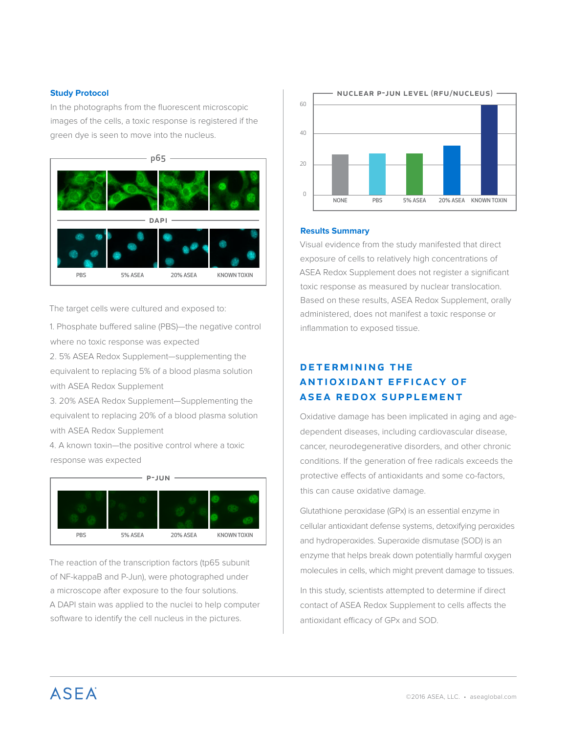### **Study Protocol**

In the photographs from the fluorescent microscopic images of the cells, a toxic response is registered if the green dye is seen to move into the nucleus.



The target cells were cultured and exposed to:

1. Phosphate buffered saline (PBS)—the negative control where no toxic response was expected

2. 5% ASEA Redox Supplement—supplementing the equivalent to replacing 5% of a blood plasma solution with ASEA Redox Supplement

3. 20% ASEA Redox Supplement—Supplementing the equivalent to replacing 20% of a blood plasma solution with ASEA Redox Supplement

4. A known toxin—the positive control where a toxic response was expected



The reaction of the transcription factors (tp65 subunit of NF-kappaB and P-Jun), were photographed under a microscope after exposure to the four solutions. A DAPI stain was applied to the nuclei to help computer software to identify the cell nucleus in the pictures.



#### **Results Summary**

Visual evidence from the study manifested that direct exposure of cells to relatively high concentrations of ASEA Redox Supplement does not register a significant toxic response as measured by nuclear translocation. Based on these results, ASEA Redox Supplement, orally administered, does not manifest a toxic response or inflammation to exposed tissue.

# DETERMINING THE ANTIOXIDANT EFFICACY OF asea redox supplement

Oxidative damage has been implicated in aging and agedependent diseases, including cardiovascular disease, cancer, neurodegenerative disorders, and other chronic conditions. If the generation of free radicals exceeds the protective effects of antioxidants and some co-factors, this can cause oxidative damage.

Glutathione peroxidase (GPx) is an essential enzyme in cellular antioxidant defense systems, detoxifying peroxides and hydroperoxides. Superoxide dismutase (SOD) is an enzyme that helps break down potentially harmful oxygen molecules in cells, which might prevent damage to tissues.

In this study, scientists attempted to determine if direct contact of ASEA Redox Supplement to cells affects the antioxidant efficacy of GPx and SOD.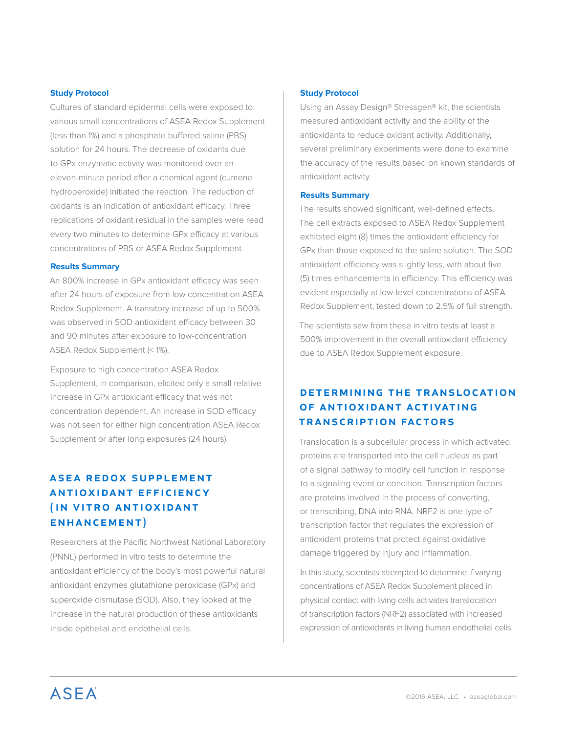#### **Study Protocol**

Cultures of standard epidermal cells were exposed to various small concentrations of ASEA Redox Supplement (less than 1%) and a phosphate buffered saline (PBS) solution for 24 hours. The decrease of oxidants due to GPx enzymatic activity was monitored over an eleven-minute period after a chemical agent (cumene hydroperoxide) initiated the reaction. The reduction of oxidants is an indication of antioxidant efficacy. Three replications of oxidant residual in the samples were read every two minutes to determine GPx efficacy at various concentrations of PBS or ASEA Redox Supplement.

#### **Results Summary**

An 800% increase in GPx antioxidant efficacy was seen after 24 hours of exposure from low concentration ASEA Redox Supplement. A transitory increase of up to 500% was observed in SOD antioxidant efficacy between 30 and 90 minutes after exposure to low-concentration ASEA Redox Supplement (< 1%).

Exposure to high concentration ASEA Redox Supplement, in comparison, elicited only a small relative increase in GPx antioxidant efficacy that was not concentration dependent. An increase in SOD efficacy was not seen for either high concentration ASEA Redox Supplement or after long exposures (24 hours).

# **ASEA REDOX SUPPLEMENT ANTIOXIDANT EFFICIENCY** ( IN VITRO ANTIOXIDANT enhancement)

Researchers at the Pacific Northwest National Laboratory (PNNL) performed in vitro tests to determine the antioxidant efficiency of the body's most powerful natural antioxidant enzymes glutathione peroxidase (GPx) and superoxide dismutase (SOD). Also, they looked at the increase in the natural production of these antioxidants inside epithelial and endothelial cells.

#### **Study Protocol**

Using an Assay Design® Stressgen® kit, the scientists measured antioxidant activity and the ability of the antioxidants to reduce oxidant activity. Additionally, several preliminary experiments were done to examine the accuracy of the results based on known standards of antioxidant activity.

#### **Results Summary**

The results showed significant, well-defined effects. The cell extracts exposed to ASEA Redox Supplement exhibited eight (8) times the antioxidant efficiency for GPx than those exposed to the saline solution. The SOD antioxidant efficiency was slightly less, with about five (5) times enhancements in efficiency. This efficiency was evident especially at low-level concentrations of ASEA Redox Supplement, tested down to 2.5% of full strength.

The scientists saw from these in vitro tests at least a 500% improvement in the overall antioxidant efficiency due to ASEA Redox Supplement exposure.

# determining the translocation of antioxidant activating transcription factors

Translocation is a subcellular process in which activated proteins are transported into the cell nucleus as part of a signal pathway to modify cell function in response to a signaling event or condition. Transcription factors are proteins involved in the process of converting, or transcribing, DNA into RNA. NRF2 is one type of transcription factor that regulates the expression of antioxidant proteins that protect against oxidative damage triggered by injury and inflammation.

In this study, scientists attempted to determine if varying concentrations of ASEA Redox Supplement placed in physical contact with living cells activates translocation of transcription factors (NRF2) associated with increased expression of antioxidants in living human endothelial cells.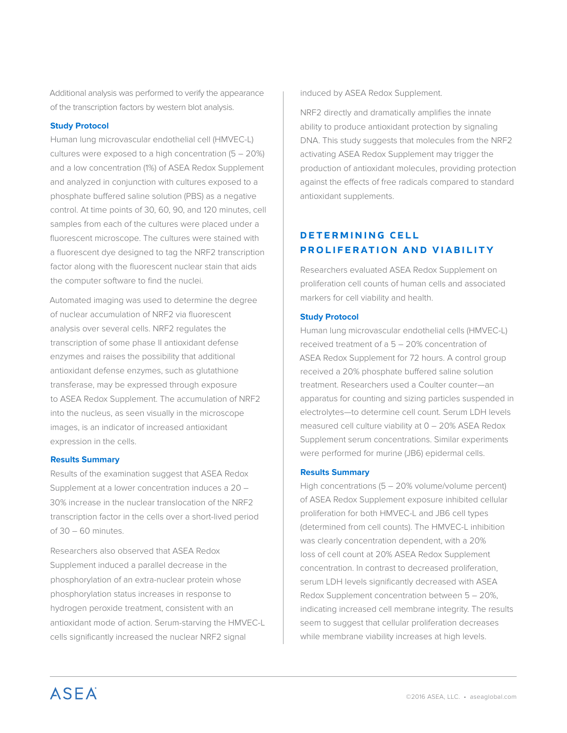Additional analysis was performed to verify the appearance of the transcription factors by western blot analysis.

## **Study Protocol**

Human lung microvascular endothelial cell (HMVEC-L) cultures were exposed to a high concentration  $(5 - 20\%)$ and a low concentration (1%) of ASEA Redox Supplement and analyzed in conjunction with cultures exposed to a phosphate buffered saline solution (PBS) as a negative control. At time points of 30, 60, 90, and 120 minutes, cell samples from each of the cultures were placed under a fluorescent microscope. The cultures were stained with a fluorescent dye designed to tag the NRF2 transcription factor along with the fluorescent nuclear stain that aids the computer software to find the nuclei.

Automated imaging was used to determine the degree of nuclear accumulation of NRF2 via fluorescent analysis over several cells. NRF2 regulates the transcription of some phase II antioxidant defense enzymes and raises the possibility that additional antioxidant defense enzymes, such as glutathione transferase, may be expressed through exposure to ASEA Redox Supplement. The accumulation of NRF2 into the nucleus, as seen visually in the microscope images, is an indicator of increased antioxidant expression in the cells.

## **Results Summary**

Results of the examination suggest that ASEA Redox Supplement at a lower concentration induces a 20 – 30% increase in the nuclear translocation of the NRF2 transcription factor in the cells over a short-lived period of 30 – 60 minutes.

Researchers also observed that ASEA Redox Supplement induced a parallel decrease in the phosphorylation of an extra-nuclear protein whose phosphorylation status increases in response to hydrogen peroxide treatment, consistent with an antioxidant mode of action. Serum-starving the HMVEC-L cells significantly increased the nuclear NRF2 signal

induced by ASEA Redox Supplement.

NRF2 directly and dramatically amplifies the innate ability to produce antioxidant protection by signaling DNA. This study suggests that molecules from the NRF2 activating ASEA Redox Supplement may trigger the production of antioxidant molecules, providing protection against the effects of free radicals compared to standard antioxidant supplements.

# DETERMINING CELL proliferation and viability

Researchers evaluated ASEA Redox Supplement on proliferation cell counts of human cells and associated markers for cell viability and health.

## **Study Protocol**

Human lung microvascular endothelial cells (HMVEC-L) received treatment of a 5 – 20% concentration of ASEA Redox Supplement for 72 hours. A control group received a 20% phosphate buffered saline solution treatment. Researchers used a Coulter counter—an apparatus for counting and sizing particles suspended in electrolytes—to determine cell count. Serum LDH levels measured cell culture viability at 0 – 20% ASEA Redox Supplement serum concentrations. Similar experiments were performed for murine (JB6) epidermal cells.

## **Results Summary**

High concentrations (5 – 20% volume/volume percent) of ASEA Redox Supplement exposure inhibited cellular proliferation for both HMVEC-L and JB6 cell types (determined from cell counts). The HMVEC-L inhibition was clearly concentration dependent, with a 20% loss of cell count at 20% ASEA Redox Supplement concentration. In contrast to decreased proliferation, serum LDH levels significantly decreased with ASEA Redox Supplement concentration between 5 – 20%, indicating increased cell membrane integrity. The results seem to suggest that cellular proliferation decreases while membrane viability increases at high levels.